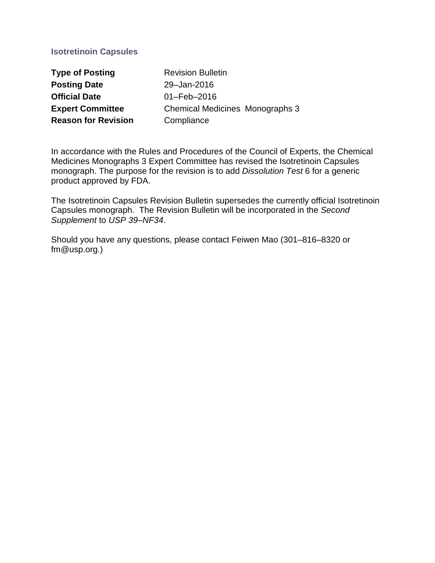# **Isotretinoin Capsules**

| <b>Type of Posting</b>     | <b>Revision Bulletin</b>               |
|----------------------------|----------------------------------------|
| <b>Posting Date</b>        | 29-Jan-2016                            |
| <b>Official Date</b>       | $01 - \text{Feb} - 2016$               |
| <b>Expert Committee</b>    | <b>Chemical Medicines Monographs 3</b> |
| <b>Reason for Revision</b> | Compliance                             |

In accordance with the Rules and Procedures of the Council of Experts, the Chemical Medicines Monographs 3 Expert Committee has revised the Isotretinoin Capsules monograph. The purpose for the revision is to add *Dissolution Test* 6 for a generic product approved by FDA.

The Isotretinoin Capsules Revision Bulletin supersedes the currently official Isotretinoin Capsules monograph. The Revision Bulletin will be incorporated in the *Second Supplement* to *USP 39–NF34*.

Should you have any questions, please contact Feiwen Mao (301–816–8320 or fm@usp.org.)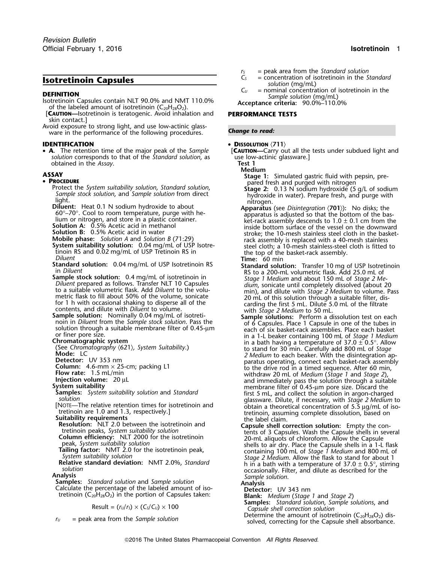- **DEFINITION**<br>Isotretinoin Capsules contain NLT 90.0% and NMT 110.0%<br>of the labeled amount of isotretinoin (C<sub>20</sub>H<sub>28</sub>O<sub>2</sub>).<br>Acceptance criteria: 90.0%–110.0%
- [**CAUTION—**Isotretinoin is teratogenic. Avoid inhalation and **PERFORMANCE TESTS** skin contact.]

Avoid exposure to strong light, and use low-actinic glassware in the performance of the following procedures. **Change to read: Change to read:** 

• A. The retention time of the major peak of the Sample *solution* corresponds to that of the *Standard solution*, as use low-<br>**Test 1** obtained in the *Assay*.

### • PROCEDURE

- 
- 
- 
- 
- 
- 
- 
- 
- **Sample stock solution:** 0.4 mg/mL of isotretinoin in *Stage 1 Medium* and about 150 mL of *Stage 2 Me-*<br> *Diluent* prepared as follows. Transfer NLT 10 Capsules *dium*. sonicate until completely dissolved (about 2 for 1 h with occasional shaking to disperse all of the volume  $\frac{20 \text{ m/s}}{20 \text{ m/s}}$  or 1 h with occasional shaking to disperse all of the carding the first 5 mL. Dilute 5.0 mL of the filtrate contents, and dilute with *Diluent* to volume. with *Stage 2 Medium* to 50 mL.
- **Sample solution:** Nominally 0.04 mg/mL of isotreti-<br> **Sample solutions:** Perform a dissolution test on each noin in *Diluent* from the *Sample stock solution*. Pass the solution of 6 Capsules. Place 1 Capsule in one of th solution through a suitable membrane filter of 0.45-um<br>or finer pore size.<br>or finer pore size.<br>in a 1-L beaker containing 100 mL of *Stage 1 Mediun*

- 
- 
- 
- 
- 

- 
- 
- 
- 

alculate the percentage of the labeled amount of iso-<br>tretinoin (C<sub>20</sub>H<sub>28</sub>O<sub>2</sub>) in the portion of Capsules taken: **Blank:** *Medium* (*Stage 1* and *Stage 2*)

$$
Result = (r_U/r_S) \times (C_S/C_U) \times 100
$$

- 
- $r_S$  = peak area from the *Standard solution*<br> $C_S$  = concentration of isotretinoin in the *Standard* **Isotretinoin Capsules**<br> **C**<sub>*C*</sub> = concentration of isotretinoin in the *Standard*<br>  $C_v$  = nominal concentration of isotretinoin in the
	- -

## **IDENTIFICATION** • **DISSOLUTION** (711)

**[CAUTION—Carry out all the tests under subdued light and use low-actinic glassware.]** 

**Medium**

- **ASSAY**<br> **Stage 1:** Simulated gastric fluid with pepsin, pre-<br> **Stage 1:** Simulated gastric fluid with pepsin, pre-<br>
pared fresh and purged with nitrogen
	-
	- Protect the System suitability solution, Standard solution,<br>
	Sample stock solution, and Sample solution from direct<br>
	light.<br>
	Diluent: Heat 0.1 N sodium hydroxide to about<br>
	fo<sup>o</sup>-70°. Cool to room temperature, purge with h **Solution A:** 0.5% Acetic acid in methanol<br>**Solution B:** 0.5% Acetic acid in water **interest and interval instant of the surface** of the vessel on the bosket-**Solution B:** 0.5% Acetic acid in water<br> **Mobile phase:** Solution A and Solution B (71:29)<br> **System suitability solution:** 0.04 mg/mL of USP Isotre-<br> **System suitability solution:** 0.04 mg/mL of USP Isotre-<br>
	The top of the
		-
	- **Standard solution:** 0.04 mg/mL of USP Isotretinoin RS **Standard solution:** Transfer 10 mg of USP Isotretinoin in *Diluent* RS to a 200-mL volumetric flask. Add 25.0 mL of Diluent prepared as follows. Transfer NLT 10 Capsules dium, sonicate until completely dissolved (about 20<br>to a suitable volumetric flask. Add Diluent to the volu-<br>min), and dilute with *Stage 2 Medium* to volume. Pass<br>metr
	- or finer pore size. in a 1-L beaker containing 100 mL of *Stage 1 Medium* **Chromatographic system**<br>(See Chromatography (621), System Suitability.) **to stand for 30 min. Carefully add 800 mL** of Staae (See Chromatography (621), System Suitability.)<br>
	Mode: LC 2 Medium to each beaker. With the disintegration ap-<br> **Detector:** UV 353 nm<br> **Column:** 4.6-mm × 25-cm; packing L1<br> **Column:** 4.6-mm × 25-cm; packing L1<br> **Column:** The tetra complete dissolution, assuming complete dissolution, based on<br>
	Suitability requirements<br>
	Resolution: NLT 2.0 between the isotretinoin and<br>
	Resolution: NLT 2.0 between the isotretinoin and<br>
	Resolution: Empty the c
	- **Resolution:** NLI 2.0 between the isotretinoin and<br>tretinoin peaks, *System suitability solution*<br>**Capsule shell correction solution:** Empty the con-<br>**Column efficiency:** NLT 2000 for the isotretinoin<br>peak, *System suitabi* peak, *System suitability solution*<br> **Tailing factor:** NMT 2.0 for the isotretinoin peak, shells to air dry. Place the Capsule shells in a 1-L flask<br>
	System suitability solution<br>
	System suitability solution<br>
	System suitabi *System suitability solution Stage 2 Medium*. Allow the flask to stand for about 1 **Relative standard deviation:** NMT 2.0%, Standard<br>
	solution<br>
	solution<br> **Analysis**<br>
	Samples: Standard solution and Sample solution<br>
	Calculate the percentage of the labeled amount of iso-<br>
	Calculate the percentage of the la

**Samples:** *Standard solution, Sample solutions, and Capsule shell correction solution*<br>Determine the amount of isotretinoin (C<sub>20</sub>H<sub>28</sub>O<sub>2</sub>) dis-

Determine the amount of isotretinoin (C20H28O2) dis- *<sup>r</sup><sup>U</sup>* = peak area from the *Sample solution* solved, correcting for the Capsule shell absorbance.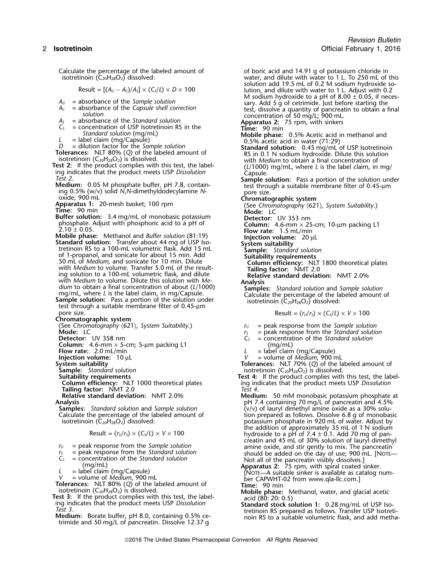Calculate the percentage of the labeled amount of  $\qquad \qquad$  of boric acid and 14.91 g of potassium chloride in isotretinoin ( $C_{20}H_{28}O_2$ ) dissolved: water, and dilute with water to 1 L. To 250 mL of

- 
- 
- 
- *A<sub>S</sub>* = absorbance of the *Standard solution*<br> *C<sub>S</sub>* = concentration of USP Isotretinoin RS in the **Time:** 90 min<br> *Standard solution* (mg/mL) **Apparatus 2:** 75 rpm, with sinkers<br> **Mobile phase:** 0.5% Acetic acid in
- 

**Buffer solution:** 3.4 mg/mL of monobasic potassium phosphate. Adjust with phosphoric acid to a pH of

- **Standard solution:** Transfer about 44 mg of USP Iso- **System suitability** tretinoin RS to a 100-mL volumetric flask. Add 15 mL **Sample:** *Standard solution* 50 mL of *Medium*, and sonicate for 10 min. Dilute<br>with *Medium* to volume. Transfer 5.0 mL of the result-<br>ing solution to a 100-mL volumetric flask, and dilute<br>Relative standard deviation: NMT 2.0% ing solution to a 100-mL volumetric flask, and dilute with *Medium* to volume. Dilute this solution with *Me*.
- 

**Chromatographic system**

- 
- 

**Column:** 4.6-mm × 5-cm; 5-µm packing L1 (mg/mL)

**Column efficiency:** NLT 1000 theoretical plates<br>**Tailing factor:** NMT 2.0<br>**Relative standard deviation: NMT 2.0%** 

$$
Result = (r_U/r_S) \times (C_S/L) \times V \times 100
$$

- 
- 
- 
- 

- **Tolerances:** NLT 80% (Q) of the labeled amount of<br>
isotretinoin ( $C_{20}H_{28}O_2$ ) is dissolved.<br> **Test 3:** If the product complies with this test, the label-<br>
ing indicates that the product meets USP Dissolution<br> *Test 3*
- trimide and 50 mg/L of pancreatin. Dissolve 12.37 g

water, and dilute with water to 1 L. To 250 mL of this solution add 19.5 mL of 0.2 M sodium hydroxide so- $\text{Result} = \left[ (A_U - A_C)/A_S \right] \times (C_S/L) \times D \times 100$  lution, and dilute with water to 1 L. Adjust with 0.2 M sodium hydroxide to a pH of 8.00 ± 0.05, if neces- $A_U$  = absorbance of the Sample solution<br> $A_C$  = absorbance of the Sample solution<br> $A_C$  = absorbance of the Capsule shell correction<br>test, dissolve a quantity of pancreatin to obtain a final *solution* concentration of 50 mg/L; 900 mL. *Standard solution* (mg/mL)<br>= label claim (mg/Capsule) **Mobile phase:** 0.5% Acetic acid in methanol and<br>0.5% acetic acid in water (71:29) *L* = label claim (mg/Capsule) 0.5% acetic acid in water (71:29)<br> *D* = dilution factor for the *Sample solution*<br> **Standard solution:** 0.45 mg/mL of USP Isotretinoin<br> **Tolerances:** NLT 80% (Q) of the labeled amount of<br>
i with *Medium* to obtain a final concentration of Test 2: If the product complies with this test, the label-<br>
ing indicates that the product meets USP Dissolution<br>
Test 2.<br>
Medium: 0.05 M phosphate buffer, pH 7.8, contain-<br>
ing 0.5% (w/v) solid N,N-dimethyldodecylamine N oxide; 900 mL<br> **Apparatus 1:** 20-mesh basket; 100 rpm<br>
Time: 90 min<br>
Time: 90 min<br>
Mode: LC<br>
Mode: LC **Buffer solution:** 3.4 mg/mL of monobasic potassium<br>
phosphate. Adjust with phosphoric acid to a pH of<br>
2.10 ± 0.05.<br> **Mobile phase:** Methanol and *Buffer solution* (81:19)<br> **Standard solution:** Transfer about 44 mg of US with Medium to volume. Dilute this solution with Medium to obtain a final concentration of about (L/1000)<br>
mg/mL, where L is the label claim, in mg/Capsule.<br> **Sample solution:** Pass a portion of the solution under<br>
test t pore size.  $\qquad \qquad$  Result =  $(r_U/r_S) \times (C_S/L) \times V \times 100$ (See *Chromatography* 〈621〉*, System Suitability*.) *<sup>r</sup><sup>U</sup>* = peak response from the *Sample solution*  $r_S$  = peak response from the *Standard solution*<br> $C_S$  = concentration of the *Standard solution* **Detector:** UV 358 nm *C<sup>S</sup>* = concentration of the *Standard solution* **Flow rate:** 2.0 mL/min *L* = label claim (mg/Capsule)<br> **Injection volume:** 10 µL<br> **Injection volume:** 10 µL<br> **Injection volume:** 10 µL

**Injection volume:** 10 µL *V* = volume of *Medium*, 900 mL **System suitability Tolerances:** NLT 70% (*Q*) of the labeled amount of

- **Sample:** *Standard solution*<br> **Suitability requirements**<br> **Suitability requirements**<br> **Suitability requirements Test 4:** If the product complies with this test, the labeling indicates that the product meets USP *Dissolution*<br>Test 4.
- **Medium:** 50 mM monobasic potassium phosphate at **Analysis**<br>**Samples:** Standard solution and Sample solution **the Standard Containing 70 mg/L of pancreatin and 4.5%<br>-Samples: Standard solution and Sample solution (v/v) of lauryl dimethyl amine oxide as a 30% solu-Samples:** *Standard solution* and *Sample solution* (v/v) of lauryl dimethyl amine oxide as a 30% solu-<br>Calculate the percentage of the labeled amount of the standard tion prepared as follows. Dissolve 6.8 g of monobas Calculate the percentage of the labeled amount of tion prepared as follows. Dissolve 6.8 g of monobasic isotretinoin  $(C_{20}H_{28}O_2)$  dissolved:<br>sotretinoin  $(C_{20}H_{28}O_2)$  dissolved: potassium phosphate in 920 mL of water. Adjust by the addition of approximately 35 mL of 1 N sodium Result = ( $r_\nu/r_S$ ) × (C $_s$ / $L$ ) ×  $V$  × 100 hydroxide to a pH of 7.4  $\pm$  0.1. Add 70 mg of pancreatin and 45 mL of 30% solution of lauryl dimethyl *r*<sub>*U*</sub> = peak response from the *Sample solution* amine oxide, and stir gently to mix. The pancreatin <br>*r*<sub>2</sub> = peak response from the *Standard solution* should be added on the day of use; 900 mL. [NOTE–

 $r_s$  = peak response from the Standard solution<br>  $C_s$  = concentration of the Standard solution<br>
(mg/mL)<br>  $L$  = label claim (mg/Capsule)<br>  $V$  = volume of *Medium*, 900 mL<br>
Tolerances: NLT 80% (Q) of the labeled amount of<br>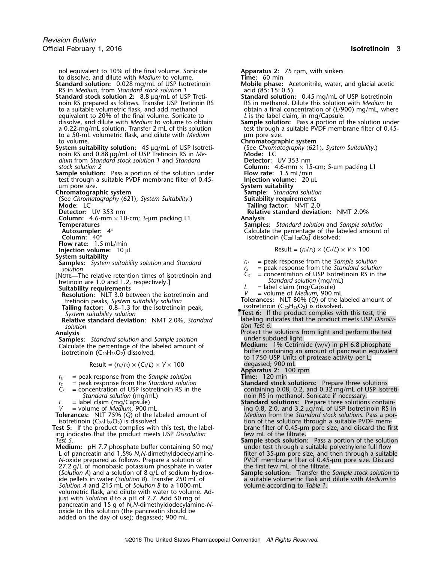nol equivalent to 10% of the final volume. Sonicate **Apparatus 2:** 75 rpm, with sinkers<br>to dissolve, and dilute with *Medium* to volume. **Time:** 60 min to dissolve, and dilute with *Medium* to volume. **Standard solution:** 0.028 mg/mL of USP Isotretinoin **Mobile phase:** Acetonitrile, water, and glacial acetic RS in *Medium*, from *Standard stock solution 1* acid (85: 15: 0.5) RS in *Medium*, from *Standard stock solution 1* acid (85: 15: 0.5) **Standard stock solution 2:** 8.8 µg/mL of USP Treti- **Standard solution:** 0.45 mg/mL of USP Isotretinoin noin RS prepared as follows. Transfer USP Tretinoin RS RS in methanol. Dilute this solution with *Medium* to to a suitable volumetric flask, and add methanol<br>botain a final concentration of (L/900) mg/mL, when equivalent to 20% of the final volume. Sonicate to *dissolve*, and dilute with *Medium* to volume to obtain a 0.22-mg/mL solution. Transfer 2 mL of this solution test through to a 50-mL volumetric flask, and dilute with *Medium* emplome size. to a 50-mL volumetric flask, and dilute with *Medium* to volume. **System suitability solution:** 45 µg/mL of USP Isotreti- (See *Chrom* opin RS and 0.88 µg/mL of USP Tretinoin RS in Menoin RS and 0.88 µg/mL of USP Tretinoin RS in *Me-*<br>
dium from Standard stock solution 1 and Standard **Detector:** UV 353 nm *dium* from *Standard stock solution 1* and *Standard stock solution 2*<br> **Sample solution:** Pass a portion of the solution under<br> **Column:** 4.6-mm × 15-cm; 5-µm packing L1 **Sample solution:** Pass a portion of the solution under **Flow rate:** 1.5 mL/min test through a suitable PVDF membrane filter of 0.45- **Injection volume:** 20 µL µm pore size. **System suitability Chromatographic system Sample:** *Standard solution* (See *Chromatography* 〈621〉*, System Suitability*.) **Suitability requirements Mode:** LC **Tailing factor:** NMT 2.0<br>Detector: UV 353 nm **Tailing factor:** NMT 2.0 **Column:** 4.6-mm × 10-cm; 3-µm packing L1 **Analysis Temperatures Samples:** *Standard solution* and *Sample solution* **Flow rate:** 1.5 mL/min<br>**Flow rate:** 1.5 mL/min<br>**Injection volume:** 10 µL **System suitability Samples:** *System suitability solution* and *Standard r*<sub>*U*</sub> = peak response from the *Sample solution*<br> *r*<sub>*I*</sub> = peak response from the *Standard solution* [NOTE—The relative retention times of isotretinoin and *C<sub>S</sub>* = concentration of USP Isotret<br>tretinoin are 1.0 and 1.2, respectively.1 *Statiform Stand Solution* (mg/mml) tretinoin are 1.0 and 1.2, respectively.] **Resolution:** NLT 3.0 between the isotretinoin and **Tolerances:** NLT 80% (*Q*) of the labeled amount of tetinoin peaks, *System suitability solution*<br> **Tolerances:** NLT 80% (*Q*) of the labeled amount of the labeled amount of the labeled amount of the labeled amount of the **Tailing factor:** 0.8–1.3 for the isotretinoin peak, **•** isotretinoin (C<sub>20</sub>H<sub>28</sub>O<sub>2</sub>) is dissolved.<br>System suitability solution **• PEST 6:** If the product complies with this test, the **Relative standard deviation:** labeling indicates that the product complies with this test, the system suitability solution: NMT 2.0%, *Standard* and labeling indicates that the product meets USP *Dissolu-* NMT 2.0%, *Stan tion Test 6*. *solution* **Analysis** Protect the solutions from light and perform the test **Samples:** *Standard solution* and *Sample solution* and **notation** under subdued light.<br>Calculate the percentage of the labeled amount of **Medium:** 1% Cetrimide (w/v) in pH 6.8 phosphate Calculate the percentage of the labeled amount of **isotretinoin** (C<sub>20</sub>H<sub>28</sub>O<sub>2</sub>) dissolved:  $Result = (r<sub>U</sub>/r<sub>S</sub>) \times (C<sub>S</sub>/L) \times V \times 100$  $r_U$  = peak response from the *Sample solution*<br> $r_S$  = peak response from the *Standard solution*<br> $C_S$  = concentration of USP Isotretinoin RS in the *<sup>r</sup><sup>S</sup>* = peak response from the *Standard solution* **Standard stock solutions:** Prepare three solutions *Standard solution* (mg/mL) **and architectus** of the label claim (mg/Capsule) **Standard solutions:** Prepare three solutions *V* = volume of *Medium*, 900 mL **Tolerances:** NLT 75% (Q) of the labeled amount of *Medium* from *L* = label claim (mg/Capsule) **Standard solutions:** Prepare three solutions contain-**Tolerances:** NLT 75% (*Q*) of the labeled amount of *Medium* from the *Standard stock solutions*. Pass a por-

Test 5: If the product complies with this test, the label-<br>ing indicates that the product meets USP Dissolution few mL of the filtrate. ing indicates that the product meets USP *Dissolution*<br>Test 5.

**Medium:** pH 7.7 phosphate buffer containing 50 mg/ under test through a suitable polyethylene full flow 27.2 g/L of monobasic potassium phosphate in water the first few mL of the filtrate. ide pellets in water (*Solution B*). Transfer 250 mL of a suitable volumetric flask and *Solution A* and 215 mL of *Solution B* to a 1000-mL volume according to *Table 1*. *Solution A* and 215 mL of *Solution B* to a 1000-mL volumetric flask, and dilute with water to volume. Adjust with *Solution B* to a pH of 7.7. Add 50 mg of pancreatin and 15 g of *N*,*N*-dimethyldodecylamine-*N*oxide to this solution (the pancreatin should be added on the day of use); degassed; 900 mL.

obtain a final concentration of (*L*/900) mg/mL, where *L* is the label claim, in mg/Capsule. **Sample solution:** Pass a portion of the solution under<br>test through a suitable PVDF membrane filter of 0.45-**Chromatographic system**<br>(See Chromatography  $(621)$ , System Suitability.) **Relative standard deviation:** NMT 2.0% Calculate the percentage of the labeled amount of isotretinoin (C<sub>20</sub>H<sub>28</sub>O<sub>2</sub>) dissolved:  $\text{Result} = (r_U/r_S) \times (C_S/L) \times V \times 100$ *solution <sup>r</sup><sup>S</sup>* = peak response from the *Standard solution L* = label claim (mg/Capsule)<br>*V* = volume of *Medium*, 900 mL

buffer containing an amount of pancreatin equivalent to 1750 USP Units of protease activity per L;

degassed; 900 mL<br>**Apparatus 2:** 100 rpm<br>**Time:** 120 min

- *C<sup>S</sup>* = concentration of USP Isotretinoin RS in the containing 0.08, 0.2, and 0.32 mg/mL of USP Isotreti-
- *V* = volume of *Medium*, 900 mL ing 0.8, 2.0, and 3.2 µg/mL of USP Isotretinoin RS in isotretinoin  $(C_{20}H_{28}O_2)$  is dissolved.<br>
So if the product complies with this test, the label-<br>
So the solution of the solutions through a suitable PVDF mem-<br>  $\frac{1}{100}$  brane filter of 0.45-µm pore size, and discard
- Sample stock solution: Pass a portion of the solution L of pancreatin and 1.5% *N*,*N*-dimethyldodecylamine- filter of 35-µm pore size, and then through a suitable **Aedium:** pH 7.7 phosphate buffer containing 50 mg/<br>
L of pancreatin and 1.5% N,N-dimethyldodecylamine-<br>
N-oxide prepared as follows. Prepare a solution of PVDF membrane filter of 0.45-µm pore size. Discard
	- **Sample solution:** Transfer the Sample stock solution to a suitable volumetric flask and dilute with *Medium* to